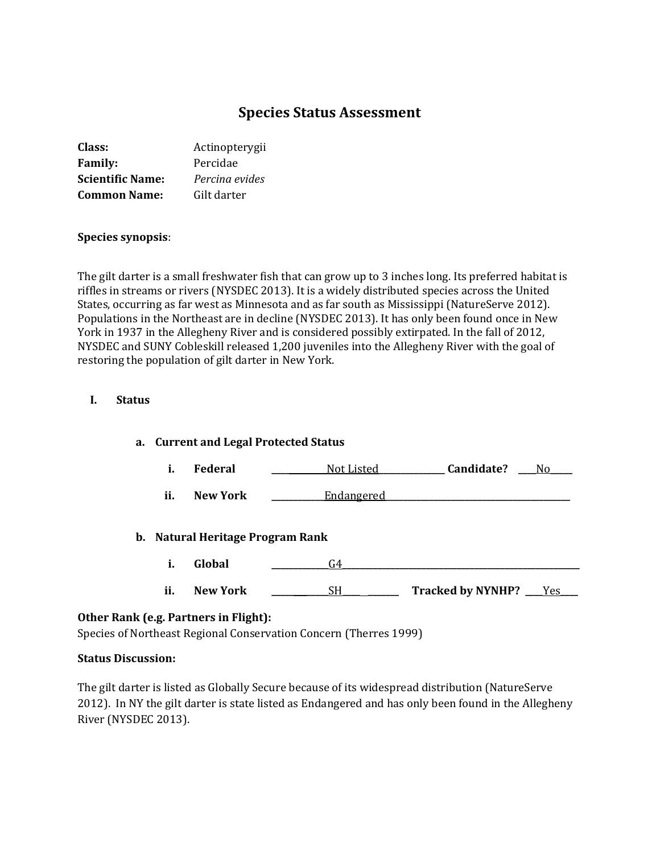# **Species Status Assessment**

| Class:                  | Actinopterygii |
|-------------------------|----------------|
| <b>Family:</b>          | Percidae       |
| <b>Scientific Name:</b> | Percina evides |
| <b>Common Name:</b>     | Gilt darter    |

#### **Species synopsis**:

The gilt darter is a small freshwater fish that can grow up to 3 inches long. Its preferred habitat is riffles in streams or rivers (NYSDEC 2013). It is a widely distributed species across the United States, occurring as far west as Minnesota and as far south as Mississippi (NatureServe 2012). Populations in the Northeast are in decline (NYSDEC 2013). It has only been found once in New York in 1937 in the Allegheny River and is considered possibly extirpated. In the fall of 2012, NYSDEC and SUNY Cobleskill released 1,200 juveniles into the Allegheny River with the goal of restoring the population of gilt darter in New York.

#### **I. Status**

| a. Current and Legal Protected Status |                 |                   |                                 |
|---------------------------------------|-----------------|-------------------|---------------------------------|
| i.                                    | <b>Federal</b>  | <u>Not Listed</u> | Candidate?<br>No.               |
| ii.                                   | <b>New York</b> | <u>Endangered</u> |                                 |
| b. Natural Heritage Program Rank      |                 |                   |                                 |
| i.                                    | Global          | G4                |                                 |
| ii.                                   | <b>New York</b> | SН                | <b>Tracked by NYNHP?</b><br>Yes |

## **Other Rank (e.g. Partners in Flight):**

Species of Northeast Regional Conservation Concern (Therres 1999)

#### **Status Discussion:**

The gilt darter is listed as Globally Secure because of its widespread distribution (NatureServe 2012). In NY the gilt darter is state listed as Endangered and has only been found in the Allegheny River (NYSDEC 2013).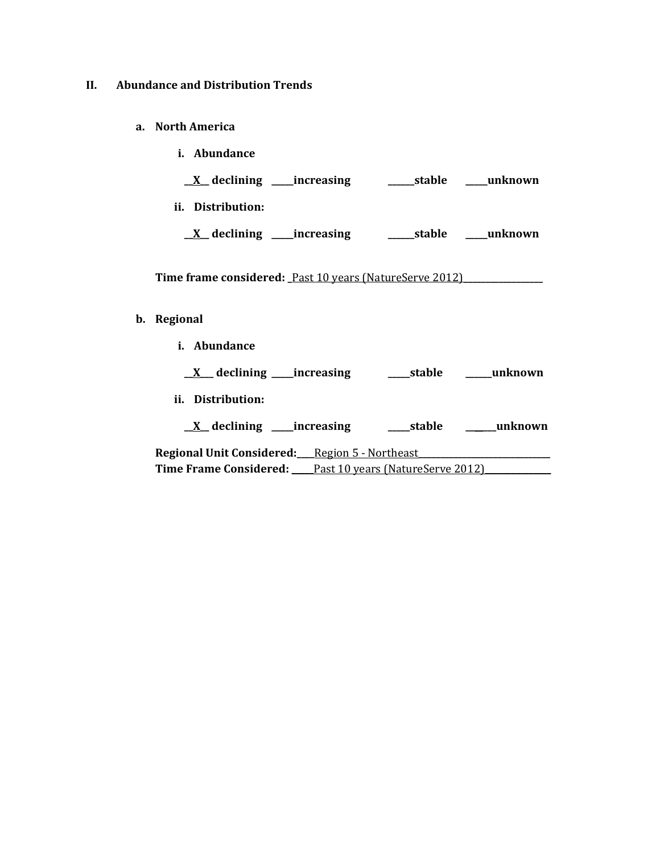#### **II. Abundance and Distribution Trends**

- **a. North America**
- **i. Abundance \_\_X\_\_ declining \_\_\_\_\_increasing \_\_\_\_\_\_stable \_\_\_\_\_unknown ii. Distribution: \_\_X\_\_ declining \_\_\_\_\_increasing \_\_\_\_\_\_stable \_\_\_\_\_unknown** Time frame considered: Past 10 years (NatureServe 2012) **b. Regional i. Abundance**

**\_\_X\_\_\_ declining \_\_\_\_\_increasing \_\_\_\_\_stable \_\_\_\_\_\_unknown ii. Distribution: \_\_X\_\_ declining \_\_\_\_\_increasing \_\_\_\_\_stable \_\_\_\_\_\_\_unknown** Regional Unit Considered: Region 5 - Northeast Time Frame Considered: <u>Past 10 years (NatureServe 2012)</u>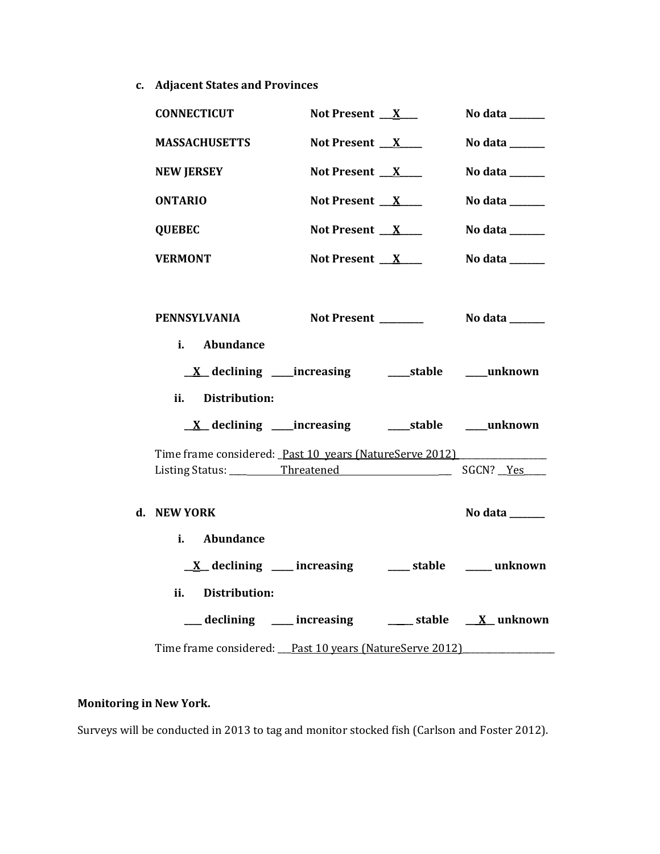**c. Adjacent States and Provinces**

| <b>CONNECTICUT</b>                                      | Not Present $X_{-}$                                                  | No data $\_\_\_\_\_\_\_\_\_\_\_\_$ |
|---------------------------------------------------------|----------------------------------------------------------------------|------------------------------------|
| <b>MASSACHUSETTS</b>                                    | Not Present $X$                                                      | No data ______                     |
| <b>NEW JERSEY</b>                                       | Not Present $X$                                                      | No data ______                     |
| <b>ONTARIO</b>                                          | Not Present $X$                                                      | No data $\_\_\_\_\_\_\_\_\_\_\_\_$ |
| <b>QUEBEC</b>                                           | Not Present $X$                                                      | No data $\_\_\_\_\_\_\_\_\_\_\$    |
| <b>VERMONT</b>                                          | Not Present $X$                                                      | No data $\frac{1}{2}$              |
|                                                         |                                                                      |                                    |
| PENNSYLVANIA                                            | Not Present ______                                                   | No data $\_\_\_\_\_\_\_\_\_\_\_\$  |
| i. Abundance                                            |                                                                      |                                    |
|                                                         | <u>X</u> declining ____increasing ______stable _____unknown          |                                    |
| ii.<br>Distribution:                                    |                                                                      |                                    |
|                                                         |                                                                      |                                    |
| Time frame considered: Past 10 years (NatureServe 2012) |                                                                      |                                    |
|                                                         |                                                                      |                                    |
| d. NEW YORK                                             |                                                                      | No data $\_\_$                     |
| Abundance<br>i.                                         |                                                                      |                                    |
|                                                         | $\underline{X}$ declining ____ increasing _____ stable _____ unknown |                                    |
| ii.<br>Distribution:                                    |                                                                      |                                    |
|                                                         | __declining ___ increasing ____ stable __ X_unknown                  |                                    |
| Time frame considered: Past 10 years (NatureServe 2012) |                                                                      |                                    |

## **Monitoring in New York.**

Surveys will be conducted in 2013 to tag and monitor stocked fish (Carlson and Foster 2012).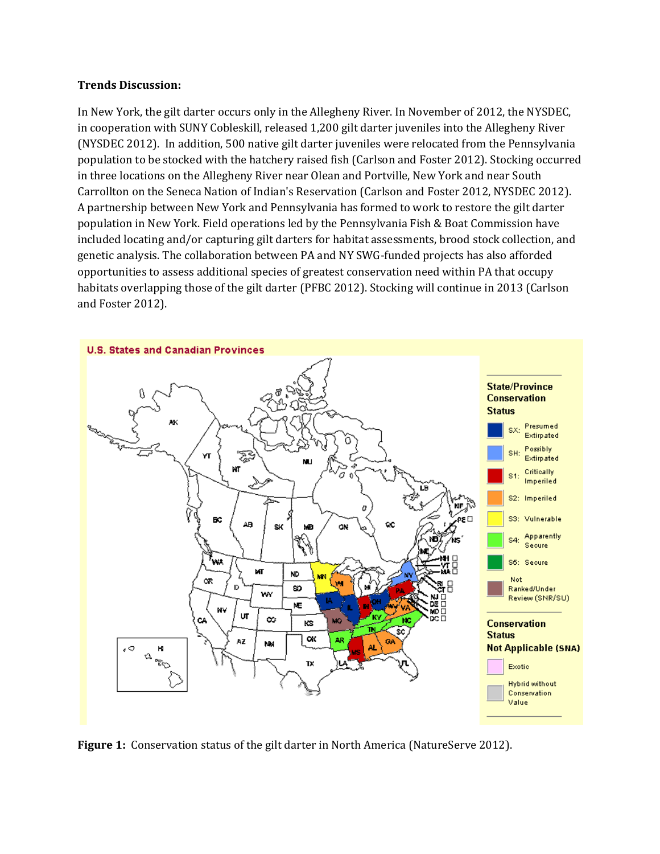### **Trends Discussion:**

In New York, the gilt darter occurs only in the Allegheny River. In November of 2012, the NYSDEC, in cooperation with SUNY Cobleskill, released 1,200 gilt darter juveniles into the Allegheny River (NYSDEC 2012). In addition, 500 native gilt darter juveniles were relocated from the Pennsylvania population to be stocked with the hatchery raised fish (Carlson and Foster 2012). Stocking occurred in three locations on the Allegheny River near Olean and Portville, New York and near South Carrollton on the Seneca Nation of Indian's Reservation (Carlson and Foster 2012, NYSDEC 2012). A partnership between New York and Pennsylvania has formed to work to restore the gilt darter population in New York. Field operations led by the Pennsylvania Fish & Boat Commission have included locating and/or capturing gilt darters for habitat assessments, brood stock collection, and genetic analysis. The collaboration between PA and NY SWG-funded projects has also afforded opportunities to assess additional species of greatest conservation need within PA that occupy habitats overlapping those of the gilt darter (PFBC 2012). Stocking will continue in 2013 (Carlson and Foster 2012).



**Figure 1:** Conservation status of the gilt darter in North America (NatureServe 2012).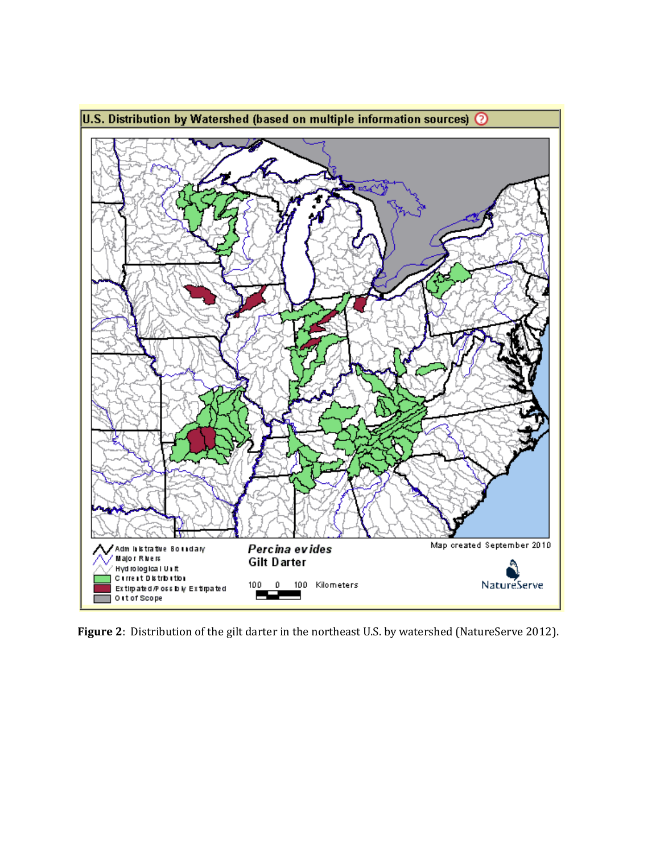

**Figure 2**: Distribution of the gilt darter in the northeast U.S. by watershed (NatureServe 2012).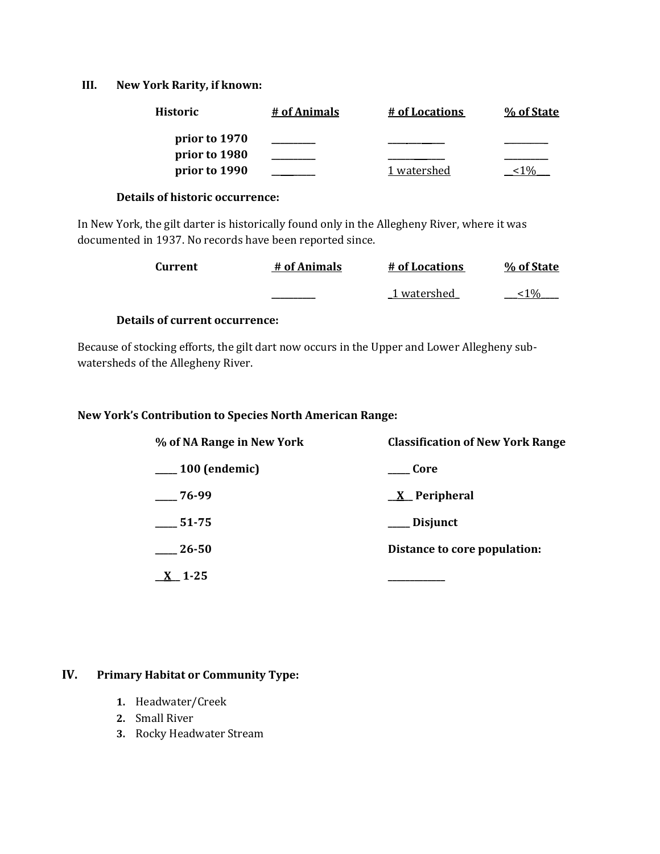### **III. New York Rarity, if known:**

| <b>Historic</b> | # of Animals | # of Locations | % of State |
|-----------------|--------------|----------------|------------|
| prior to 1970   |              |                |            |
| prior to 1980   |              |                |            |
| prior to 1990   |              | 1 watershed    |            |

## **Details of historic occurrence:**

In New York, the gilt darter is historically found only in the Allegheny River, where it was documented in 1937. No records have been reported since.

| Current | # of Animals | # of Locations | % of State |
|---------|--------------|----------------|------------|
|         |              | 1 watershed    | 1 U/       |

## **Details of current occurrence:**

Because of stocking efforts, the gilt dart now occurs in the Upper and Lower Allegheny subwatersheds of the Allegheny River.

## **New York's Contribution to Species North American Range:**

| % of NA Range in New York    | <b>Classification of New York Range</b> |
|------------------------------|-----------------------------------------|
| <sub>___</sub> 100 (endemic) | Core                                    |
| $-76-99$                     | <u>X</u> Peripheral                     |
| $-51-75$                     | ___ Disjunct                            |
| 26-50                        | Distance to core population:            |
| $X_{-}$ 1-25                 |                                         |

## **IV. Primary Habitat or Community Type:**

- **1.** Headwater/Creek
- **2.** Small River
- **3.** Rocky Headwater Stream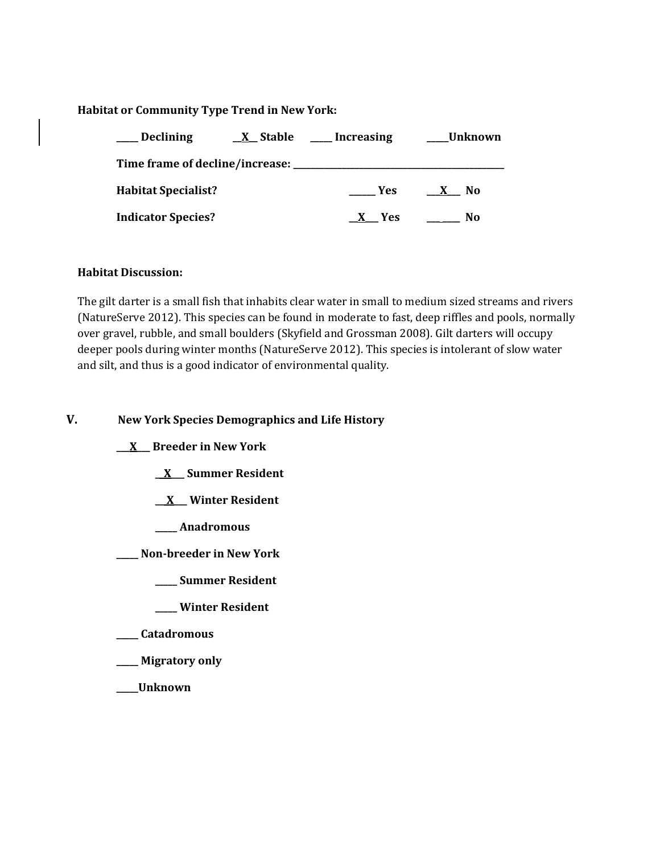## **Habitat or Community Type Trend in New York:**

| <b>Declining</b>                | <u>X</u> Stable | Increasing | Unknown |
|---------------------------------|-----------------|------------|---------|
| Time frame of decline/increase: |                 |            |         |
| <b>Habitat Specialist?</b>      |                 | Yes.       | No.     |
| <b>Indicator Species?</b>       |                 | - Yes      | No      |

#### **Habitat Discussion:**

The gilt darter is a small fish that inhabits clear water in small to medium sized streams and rivers (NatureServe 2012). This species can be found in moderate to fast, deep riffles and pools, normally over gravel, rubble, and small boulders (Skyfield and Grossman 2008). Gilt darters will occupy deeper pools during winter months (NatureServe 2012). This species is intolerant of slow water and silt, and thus is a good indicator of environmental quality.

## **V. New York Species Demographics and Life History**

**\_\_\_X\_\_\_ Breeder in New York**

**\_\_X\_\_\_ Summer Resident**

**\_\_ X\_\_\_ Winter Resident**

**\_\_\_\_\_ Anadromous**

**\_\_\_\_\_ Non-breeder in New York**

- **\_\_\_\_\_ Summer Resident**
- **\_\_\_\_\_ Winter Resident**

**\_\_\_\_\_ Catadromous**

**\_\_\_\_\_ Migratory only**

**\_\_\_\_\_Unknown**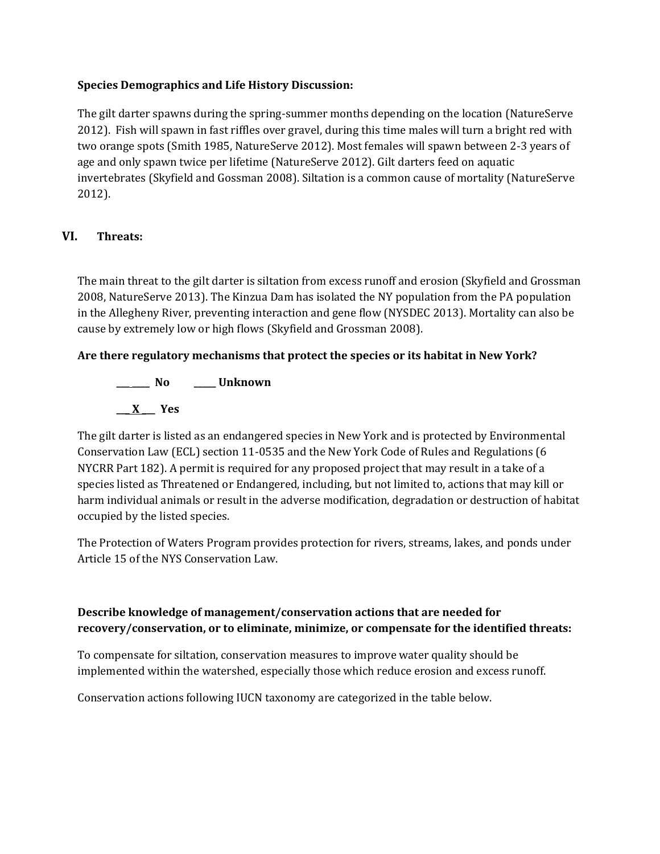## **Species Demographics and Life History Discussion:**

The gilt darter spawns during the spring-summer months depending on the location (NatureServe 2012). Fish will spawn in fast riffles over gravel, during this time males will turn a bright red with two orange spots (Smith 1985, NatureServe 2012). Most females will spawn between 2-3 years of age and only spawn twice per lifetime (NatureServe 2012). Gilt darters feed on aquatic invertebrates (Skyfield and Gossman 2008). Siltation is a common cause of mortality (NatureServe 2012).

## **VI. Threats:**

The main threat to the gilt darter is siltation from excess runoff and erosion (Skyfield and Grossman 2008, NatureServe 2013). The Kinzua Dam has isolated the NY population from the PA population in the Allegheny River, preventing interaction and gene flow (NYSDEC 2013). Mortality can also be cause by extremely low or high flows (Skyfield and Grossman 2008).

## **Are there regulatory mechanisms that protect the species or its habitat in New York?**

**\_\_\_ \_\_\_\_ No \_\_\_\_\_ Unknown \_\_\_ X \_\_\_ Yes** 

The gilt darter is listed as an endangered species in New York and is protected by Environmental Conservation Law (ECL) section 11-0535 and the New York Code of Rules and Regulations (6 NYCRR Part 182). A permit is required for any proposed project that may result in a take of a species listed as Threatened or Endangered, including, but not limited to, actions that may kill or harm individual animals or result in the adverse modification, degradation or destruction of habitat occupied by the listed species.

The Protection of Waters Program provides protection for rivers, streams, lakes, and ponds under Article 15 of the NYS Conservation Law.

## **Describe knowledge of management/conservation actions that are needed for recovery/conservation, or to eliminate, minimize, or compensate for the identified threats:**

To compensate for siltation, conservation measures to improve water quality should be implemented within the watershed, especially those which reduce erosion and excess runoff.

Conservation actions following IUCN taxonomy are categorized in the table below.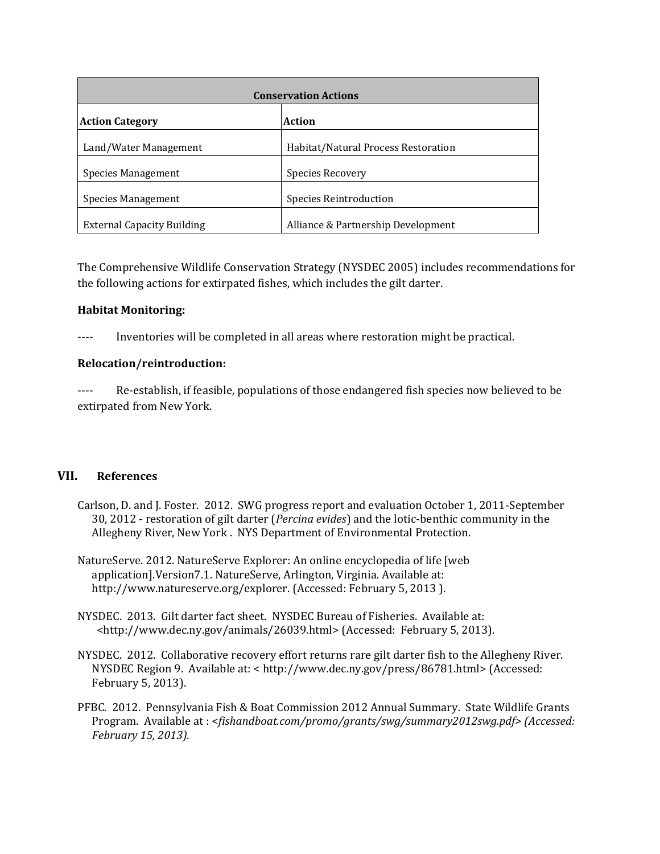| <b>Conservation Actions</b>       |                                     |  |  |
|-----------------------------------|-------------------------------------|--|--|
| <b>Action Category</b>            | <b>Action</b>                       |  |  |
| Land/Water Management             | Habitat/Natural Process Restoration |  |  |
| Species Management                | Species Recovery                    |  |  |
| Species Management                | <b>Species Reintroduction</b>       |  |  |
| <b>External Capacity Building</b> | Alliance & Partnership Development  |  |  |

The Comprehensive Wildlife Conservation Strategy (NYSDEC 2005) includes recommendations for the following actions for extirpated fishes, which includes the gilt darter.

## **Habitat Monitoring:**

---- Inventories will be completed in all areas where restoration might be practical.

## **Relocation/reintroduction:**

---- Re-establish, if feasible, populations of those endangered fish species now believed to be extirpated from New York.

#### **VII. References**

- Carlson, D. and J. Foster. 2012. SWG progress report and evaluation October 1, 2011-September 30, 2012 - restoration of gilt darter (*Percina evides*) and the lotic-benthic community in the Allegheny River, New York . NYS Department of Environmental Protection.
- NatureServe. 2012. NatureServe Explorer: An online encyclopedia of life [web application].Version7.1. NatureServe, Arlington, Virginia. Available at: http://www.natureserve.org/explorer. (Accessed: February 5, 2013 ).
- NYSDEC. 2013. Gilt darter fact sheet. NYSDEC Bureau of Fisheries. Available at: <http://www.dec.ny.gov/animals/26039.html> (Accessed: February 5, 2013).
- NYSDEC. 2012. Collaborative recovery effort returns rare gilt darter fish to the Allegheny River. NYSDEC Region 9. Available at: < http://www.dec.ny.gov/press/86781.html> (Accessed: February 5, 2013).
- PFBC. 2012. Pennsylvania Fish & Boat Commission 2012 Annual Summary. State Wildlife Grants Program. Available at : <*fishandboat.com/promo/grants/swg/summary2012swg.pdf> (Accessed: February 15, 2013).*